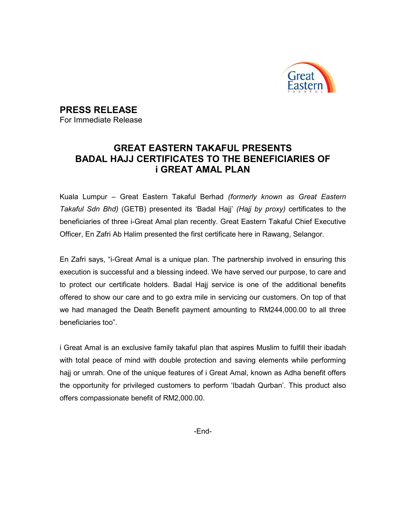

PRESS RELEASE For Immediate Release

## GREAT EASTERN TAKAFUL PRESENTS BADAL HAJJ CERTIFICATES TO THE BENEFICIARIES OF i GREAT AMAL PLAN

Kuala Lumpur – Great Eastern Takaful Berhad (formerly known as Great Eastern Takaful Sdn Bhd) (GETB) presented its 'Badal Hajj' (Hajj by proxy) certificates to the beneficiaries of three i-Great Amal plan recently. Great Eastern Takaful Chief Executive Officer, En Zafri Ab Halim presented the first certificate here in Rawang, Selangor.

En Zafri says, "i-Great Amal is a unique plan. The partnership involved in ensuring this execution is successful and a blessing indeed. We have served our purpose, to care and to protect our certificate holders. Badal Hajj service is one of the additional benefits offered to show our care and to go extra mile in servicing our customers. On top of that we had managed the Death Benefit payment amounting to RM244,000.00 to all three beneficiaries too".

i Great Amal is an exclusive family takaful plan that aspires Muslim to fulfill their ibadah with total peace of mind with double protection and saving elements while performing hajj or umrah. One of the unique features of i Great Amal, known as Adha benefit offers the opportunity for privileged customers to perform 'Ibadah Qurban'. This product also offers compassionate benefit of RM2,000.00.

-End-